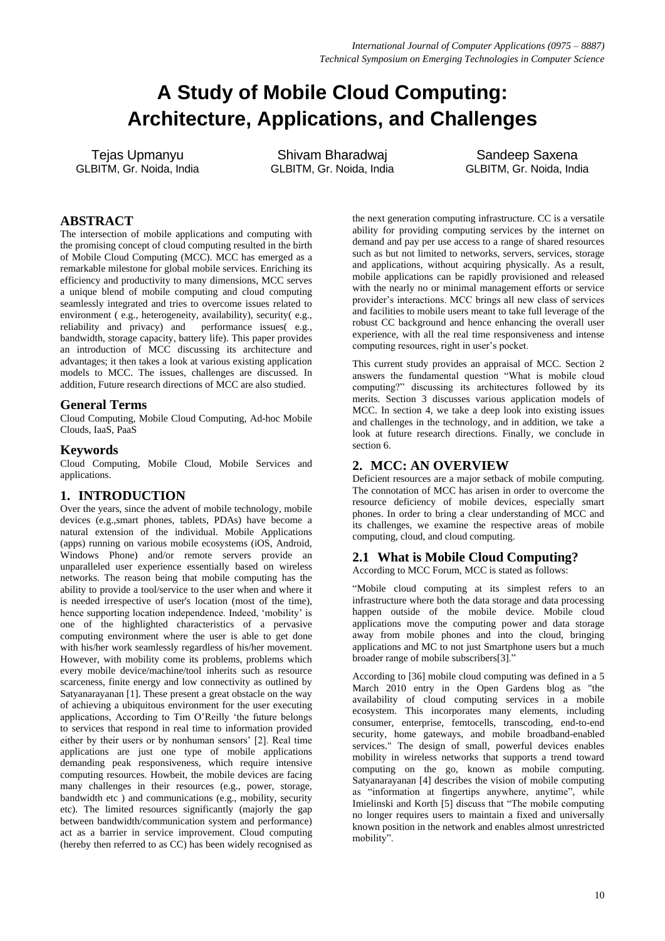# **A Study of Mobile Cloud Computing: Architecture, Applications, and Challenges**

Tejas Upmanyu GLBITM, Gr. Noida, India

Shivam Bharadwaj GLBITM, Gr. Noida, India

Sandeep Saxena GLBITM, Gr. Noida, India

## **ABSTRACT**

The intersection of mobile applications and computing with the promising concept of cloud computing resulted in the birth of Mobile Cloud Computing (MCC). MCC has emerged as a remarkable milestone for global mobile services. Enriching its efficiency and productivity to many dimensions, MCC serves a unique blend of mobile computing and cloud computing seamlessly integrated and tries to overcome issues related to environment (e.g., heterogeneity, availability), security(e.g., reliability and privacy) and performance issues( e.g., bandwidth, storage capacity, battery life). This paper provides an introduction of MCC discussing its architecture and advantages; it then takes a look at various existing application models to MCC. The issues, challenges are discussed. In addition, Future research directions of MCC are also studied.

## **General Terms**

Cloud Computing, Mobile Cloud Computing, Ad-hoc Mobile Clouds, IaaS, PaaS

## **Keywords**

Cloud Computing, Mobile Cloud, Mobile Services and applications.

## **1. INTRODUCTION**

Over the years, since the advent of mobile technology, mobile devices (e.g.,smart phones, tablets, PDAs) have become a natural extension of the individual. Mobile Applications (apps) running on various mobile ecosystems (iOS, Android, Windows Phone) and/or remote servers provide an unparalleled user experience essentially based on wireless networks. The reason being that mobile computing has the ability to provide a tool/service to the user when and where it is needed irrespective of user's location (most of the time), hence supporting location independence. Indeed, 'mobility' is one of the highlighted characteristics of a pervasive computing environment where the user is able to get done with his/her work seamlessly regardless of his/her movement. However, with mobility come its problems, problems which every mobile device/machine/tool inherits such as resource scarceness, finite energy and low connectivity as outlined by Satyanarayanan [1]. These present a great obstacle on the way of achieving a ubiquitous environment for the user executing applications, According to Tim O'Reilly 'the future belongs to services that respond in real time to information provided either by their users or by nonhuman sensors' [2]. Real time applications are just one type of mobile applications demanding peak responsiveness, which require intensive computing resources. Howbeit, the mobile devices are facing many challenges in their resources (e.g., power, storage, bandwidth etc ) and communications (e.g., mobility, security etc). The limited resources significantly (majorly the gap between bandwidth/communication system and performance) act as a barrier in service improvement. Cloud computing (hereby then referred to as CC) has been widely recognised as

the next generation computing infrastructure. CC is a versatile ability for providing computing services by the internet on demand and pay per use access to a range of shared resources such as but not limited to networks, servers, services, storage and applications, without acquiring physically. As a result, mobile applications can be rapidly provisioned and released with the nearly no or minimal management efforts or service provider's interactions. MCC brings all new class of services and facilities to mobile users meant to take full leverage of the robust CC background and hence enhancing the overall user experience, with all the real time responsiveness and intense computing resources, right in user's pocket.

This current study provides an appraisal of MCC. Section 2 answers the fundamental question "What is mobile cloud computing?" discussing its architectures followed by its merits. Section 3 discusses various application models of MCC. In section 4, we take a deep look into existing issues and challenges in the technology, and in addition, we take a look at future research directions. Finally, we conclude in section 6.

# **2. MCC: AN OVERVIEW**

Deficient resources are a major setback of mobile computing. The connotation of MCC has arisen in order to overcome the resource deficiency of mobile devices, especially smart phones. In order to bring a clear understanding of MCC and its challenges, we examine the respective areas of mobile computing, cloud, and cloud computing.

# **2.1 What is Mobile Cloud Computing?**

According to MCC Forum, MCC is stated as follows:

―Mobile cloud computing at its simplest refers to an infrastructure where both the data storage and data processing happen outside of the mobile device. Mobile cloud applications move the computing power and data storage away from mobile phones and into the cloud, bringing applications and MC to not just Smartphone users but a much broader range of mobile subscribers[3].'

According to [36] mobile cloud computing was defined in a 5 March 2010 entry in the Open Gardens blog as "the availability of cloud computing services in a mobile ecosystem. This incorporates many elements, including consumer, enterprise, femtocells, transcoding, end-to-end security, home gateways, and mobile broadband-enabled services." The design of small, powerful devices enables mobility in wireless networks that supports a trend toward computing on the go, known as mobile computing. Satyanarayanan [4] describes the vision of mobile computing as "information at fingertips anywhere, anytime", while Imielinski and Korth [5] discuss that "The mobile computing no longer requires users to maintain a fixed and universally known position in the network and enables almost unrestricted mobility".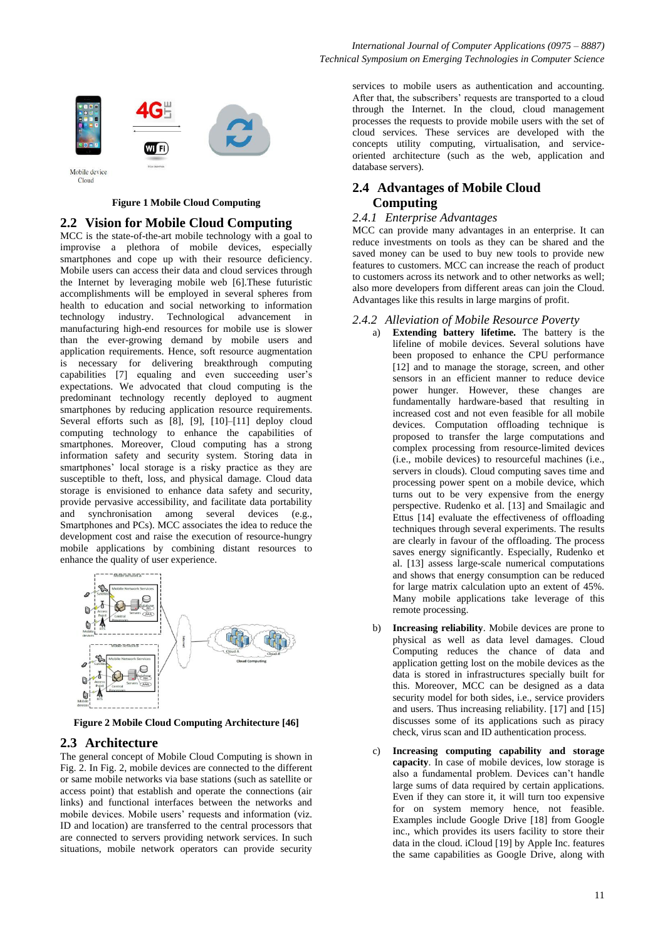

#### **Figure 1 Mobile Cloud Computing**

#### **2.2 Vision for Mobile Cloud Computing**

MCC is the state-of-the-art mobile technology with a goal to improvise a plethora of mobile devices, especially smartphones and cope up with their resource deficiency. Mobile users can access their data and cloud services through the Internet by leveraging mobile web [6].These futuristic accomplishments will be employed in several spheres from health to education and social networking to information technology industry. Technological advancement in manufacturing high-end resources for mobile use is slower than the ever-growing demand by mobile users and application requirements. Hence, soft resource augmentation is necessary for delivering breakthrough computing capabilities [7] equaling and even succeeding user's expectations. We advocated that cloud computing is the predominant technology recently deployed to augment smartphones by reducing application resource requirements. Several efforts such as [8], [9], [10]–[11] deploy cloud computing technology to enhance the capabilities of smartphones. Moreover, Cloud computing has a strong information safety and security system. Storing data in smartphones' local storage is a risky practice as they are susceptible to theft, loss, and physical damage. Cloud data storage is envisioned to enhance data safety and security, provide pervasive accessibility, and facilitate data portability and synchronisation among several devices (e.g., Smartphones and PCs). MCC associates the idea to reduce the development cost and raise the execution of resource-hungry mobile applications by combining distant resources to enhance the quality of user experience.



**Figure 2 Mobile Cloud Computing Architecture [46]**

#### **2.3 Architecture**

The general concept of Mobile Cloud Computing is shown in Fig. 2. In Fig. 2, mobile devices are connected to the different or same mobile networks via base stations (such as satellite or access point) that establish and operate the connections (air links) and functional interfaces between the networks and mobile devices. Mobile users' requests and information (viz. ID and location) are transferred to the central processors that are connected to servers providing network services. In such situations, mobile network operators can provide security

services to mobile users as authentication and accounting. After that, the subscribers' requests are transported to a cloud through the Internet. In the cloud, cloud management processes the requests to provide mobile users with the set of cloud services. These services are developed with the concepts utility computing, virtualisation, and serviceoriented architecture (such as the web, application and database servers).

## **2.4 Advantages of Mobile Cloud Computing**

#### *2.4.1 Enterprise Advantages*

MCC can provide many advantages in an enterprise. It can reduce investments on tools as they can be shared and the saved money can be used to buy new tools to provide new features to customers. MCC can increase the reach of product to customers across its network and to other networks as well; also more developers from different areas can join the Cloud. Advantages like this results in large margins of profit.

#### *2.4.2 Alleviation of Mobile Resource Poverty*

- a) **Extending battery lifetime.** The battery is the lifeline of mobile devices. Several solutions have been proposed to enhance the CPU performance [12] and to manage the storage, screen, and other sensors in an efficient manner to reduce device power hunger. However, these changes are fundamentally hardware-based that resulting in increased cost and not even feasible for all mobile devices. Computation offloading technique is proposed to transfer the large computations and complex processing from resource-limited devices (i.e., mobile devices) to resourceful machines (i.e., servers in clouds). Cloud computing saves time and processing power spent on a mobile device, which turns out to be very expensive from the energy perspective. Rudenko et al. [13] and Smailagic and Ettus [14] evaluate the effectiveness of offloading techniques through several experiments. The results are clearly in favour of the offloading. The process saves energy significantly. Especially, Rudenko et al. [13] assess large-scale numerical computations and shows that energy consumption can be reduced for large matrix calculation upto an extent of 45%. Many mobile applications take leverage of this remote processing.
- b) **Increasing reliability**. Mobile devices are prone to physical as well as data level damages. Cloud Computing reduces the chance of data and application getting lost on the mobile devices as the data is stored in infrastructures specially built for this. Moreover, MCC can be designed as a data security model for both sides, i.e., service providers and users. Thus increasing reliability. [17] and [15] discusses some of its applications such as piracy check, virus scan and ID authentication process.
- c) **Increasing computing capability and storage capacity**. In case of mobile devices, low storage is also a fundamental problem. Devices can't handle large sums of data required by certain applications. Even if they can store it, it will turn too expensive for on system memory hence, not feasible. Examples include Google Drive [18] from Google inc., which provides its users facility to store their data in the cloud. iCloud [19] by Apple Inc. features the same capabilities as Google Drive, along with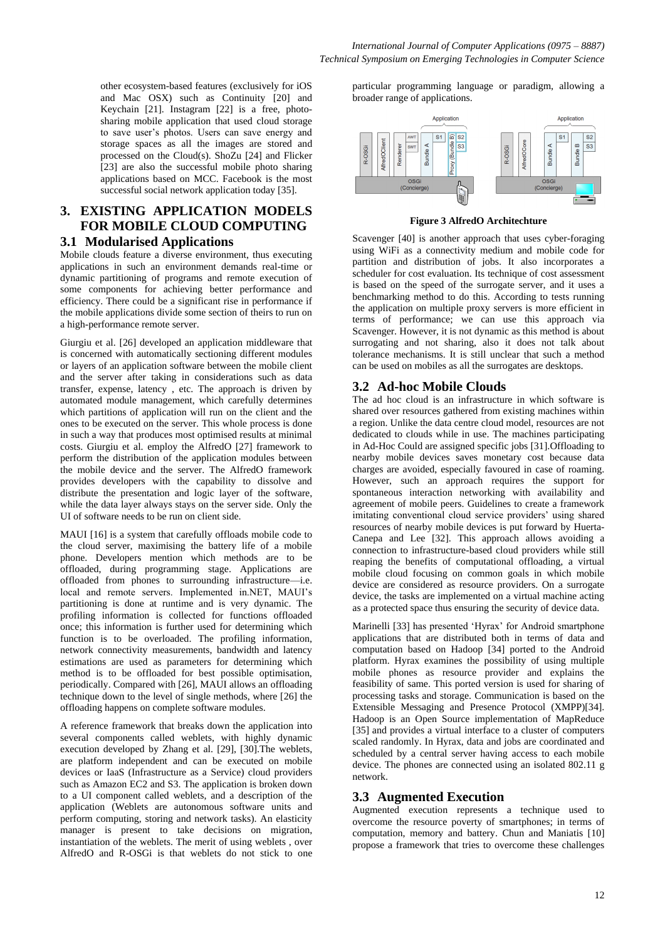other ecosystem-based features (exclusively for iOS and Mac OSX) such as Continuity [20] and Keychain [21]. Instagram [22] is a free, photosharing mobile application that used cloud storage to save user's photos. Users can save energy and storage spaces as all the images are stored and processed on the Cloud(s). ShoZu [24] and Flicker [23] are also the successful mobile photo sharing applications based on MCC. Facebook is the most successful social network application today [35].

## **3. EXISTING APPLICATION MODELS FOR MOBILE CLOUD COMPUTING 3.1 Modularised Applications**

# Mobile clouds feature a diverse environment, thus executing applications in such an environment demands real-time or dynamic partitioning of programs and remote execution of

some components for achieving better performance and efficiency. There could be a significant rise in performance if the mobile applications divide some section of theirs to run on a high-performance remote server.

Giurgiu et al. [26] developed an application middleware that is concerned with automatically sectioning different modules or layers of an application software between the mobile client and the server after taking in considerations such as data transfer, expense, latency , etc. The approach is driven by automated module management, which carefully determines which partitions of application will run on the client and the ones to be executed on the server. This whole process is done in such a way that produces most optimised results at minimal costs. Giurgiu et al. employ the AlfredO [27] framework to perform the distribution of the application modules between the mobile device and the server. The AlfredO framework provides developers with the capability to dissolve and distribute the presentation and logic layer of the software, while the data layer always stays on the server side. Only the UI of software needs to be run on client side.

MAUI [16] is a system that carefully offloads mobile code to the cloud server, maximising the battery life of a mobile phone. Developers mention which methods are to be offloaded, during programming stage. Applications are offloaded from phones to surrounding infrastructure—i.e. local and remote servers. Implemented in.NET, MAUI's partitioning is done at runtime and is very dynamic. The profiling information is collected for functions offloaded once; this information is further used for determining which function is to be overloaded. The profiling information, network connectivity measurements, bandwidth and latency estimations are used as parameters for determining which method is to be offloaded for best possible optimisation, periodically. Compared with [26], MAUI allows an offloading technique down to the level of single methods, where [26] the offloading happens on complete software modules.

A reference framework that breaks down the application into several components called weblets, with highly dynamic execution developed by Zhang et al. [29], [30].The weblets, are platform independent and can be executed on mobile devices or IaaS (Infrastructure as a Service) cloud providers such as Amazon EC2 and S3. The application is broken down to a UI component called weblets, and a description of the application (Weblets are autonomous software units and perform computing, storing and network tasks). An elasticity manager is present to take decisions on migration, instantiation of the weblets. The merit of using weblets , over AlfredO and R-OSGi is that weblets do not stick to one

particular programming language or paradigm, allowing a broader range of applications.



**Figure 3 AlfredO Architechture**

Scavenger [40] is another approach that uses cyber-foraging using WiFi as a connectivity medium and mobile code for partition and distribution of jobs. It also incorporates a scheduler for cost evaluation. Its technique of cost assessment is based on the speed of the surrogate server, and it uses a benchmarking method to do this. According to tests running the application on multiple proxy servers is more efficient in terms of performance; we can use this approach via Scavenger. However, it is not dynamic as this method is about surrogating and not sharing, also it does not talk about tolerance mechanisms. It is still unclear that such a method can be used on mobiles as all the surrogates are desktops.

# **3.2 Ad-hoc Mobile Clouds**

The ad hoc cloud is an infrastructure in which software is shared over resources gathered from existing machines within a region. Unlike the data centre cloud model, resources are not dedicated to clouds while in use. The machines participating in Ad-Hoc Could are assigned specific jobs [31].Offloading to nearby mobile devices saves monetary cost because data charges are avoided, especially favoured in case of roaming. However, such an approach requires the support for spontaneous interaction networking with availability and agreement of mobile peers. Guidelines to create a framework imitating conventional cloud service providers' using shared resources of nearby mobile devices is put forward by Huerta-Canepa and Lee [32]. This approach allows avoiding a connection to infrastructure-based cloud providers while still reaping the benefits of computational offloading, a virtual mobile cloud focusing on common goals in which mobile device are considered as resource providers. On a surrogate device, the tasks are implemented on a virtual machine acting as a protected space thus ensuring the security of device data.

Marinelli [33] has presented 'Hyrax' for Android smartphone applications that are distributed both in terms of data and computation based on Hadoop [34] ported to the Android platform. Hyrax examines the possibility of using multiple mobile phones as resource provider and explains the feasibility of same. This ported version is used for sharing of processing tasks and storage. Communication is based on the Extensible Messaging and Presence Protocol (XMPP)[34]. Hadoop is an Open Source implementation of MapReduce [35] and provides a virtual interface to a cluster of computers scaled randomly. In Hyrax, data and jobs are coordinated and scheduled by a central server having access to each mobile device. The phones are connected using an isolated 802.11 g network.

# **3.3 Augmented Execution**

Augmented execution represents a technique used to overcome the resource poverty of smartphones; in terms of computation, memory and battery. Chun and Maniatis [10] propose a framework that tries to overcome these challenges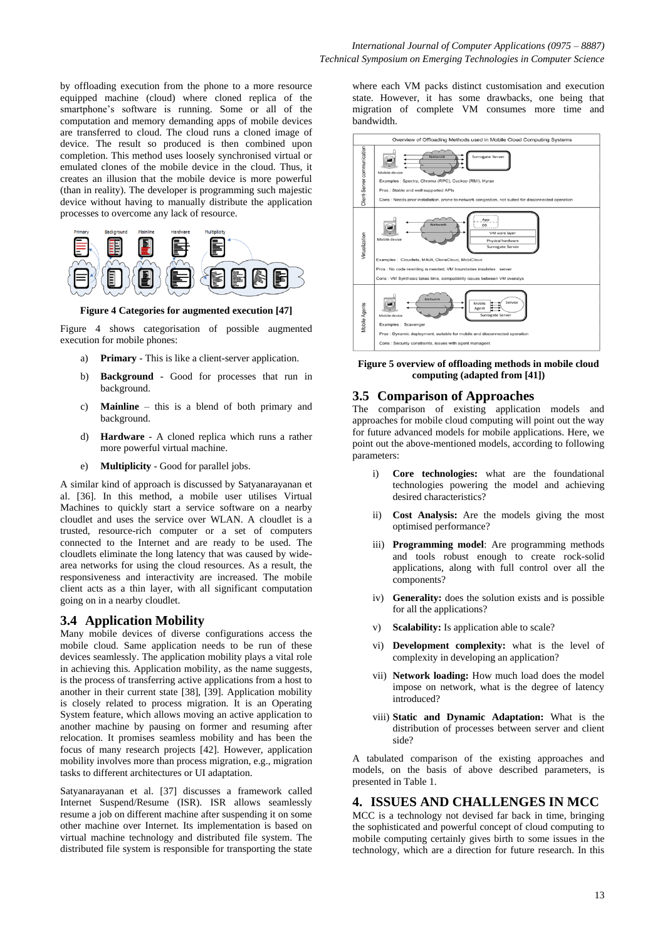by offloading execution from the phone to a more resource equipped machine (cloud) where cloned replica of the smartphone's software is running. Some or all of the computation and memory demanding apps of mobile devices are transferred to cloud. The cloud runs a cloned image of device. The result so produced is then combined upon completion. This method uses loosely synchronised virtual or emulated clones of the mobile device in the cloud. Thus, it creates an illusion that the mobile device is more powerful (than in reality). The developer is programming such majestic device without having to manually distribute the application processes to overcome any lack of resource.



**Figure 4 Categories for augmented execution [47]**

Figure 4 shows categorisation of possible augmented execution for mobile phones:

- a) **Primary** This is like a client-server application.
- b) **Background**  Good for processes that run in background.
- c) **Mainline** this is a blend of both primary and background.
- d) **Hardware** A cloned replica which runs a rather more powerful virtual machine.
- e) **Multiplicity** Good for parallel jobs.

A similar kind of approach is discussed by Satyanarayanan et al. [36]. In this method, a mobile user utilises Virtual Machines to quickly start a service software on a nearby cloudlet and uses the service over WLAN. A cloudlet is a trusted, resource-rich computer or a set of computers connected to the Internet and are ready to be used. The cloudlets eliminate the long latency that was caused by widearea networks for using the cloud resources. As a result, the responsiveness and interactivity are increased. The mobile client acts as a thin layer, with all significant computation going on in a nearby cloudlet.

#### **3.4 Application Mobility**

Many mobile devices of diverse configurations access the mobile cloud. Same application needs to be run of these devices seamlessly. The application mobility plays a vital role in achieving this. Application mobility, as the name suggests, is the process of transferring active applications from a host to another in their current state [38], [39]. Application mobility is closely related to process migration. It is an Operating System feature, which allows moving an active application to another machine by pausing on former and resuming after relocation. It promises seamless mobility and has been the focus of many research projects [42]. However, application mobility involves more than process migration, e.g., migration tasks to different architectures or UI adaptation.

Satyanarayanan et al. [37] discusses a framework called Internet Suspend/Resume (ISR). ISR allows seamlessly resume a job on different machine after suspending it on some other machine over Internet. Its implementation is based on virtual machine technology and distributed file system. The distributed file system is responsible for transporting the state

where each VM packs distinct customisation and execution state. However, it has some drawbacks, one being that migration of complete VM consumes more time and bandwidth.



**Figure 5 overview of offloading methods in mobile cloud computing (adapted from [41])**

#### **3.5 Comparison of Approaches**

The comparison of existing application models and approaches for mobile cloud computing will point out the way for future advanced models for mobile applications. Here, we point out the above-mentioned models, according to following parameters:

- i) **Core technologies:** what are the foundational technologies powering the model and achieving desired characteristics?
- ii) **Cost Analysis:** Are the models giving the most optimised performance?
- iii) **Programming model**: Are programming methods and tools robust enough to create rock-solid applications, along with full control over all the components?
- iv) **Generality:** does the solution exists and is possible for all the applications?
- v) **Scalability:** Is application able to scale?
- vi) **Development complexity:** what is the level of complexity in developing an application?
- vii) **Network loading:** How much load does the model impose on network, what is the degree of latency introduced?
- viii) **Static and Dynamic Adaptation:** What is the distribution of processes between server and client side?

A tabulated comparison of the existing approaches and models, on the basis of above described parameters, is presented in Table 1.

#### **4. ISSUES AND CHALLENGES IN MCC**

MCC is a technology not devised far back in time, bringing the sophisticated and powerful concept of cloud computing to mobile computing certainly gives birth to some issues in the technology, which are a direction for future research. In this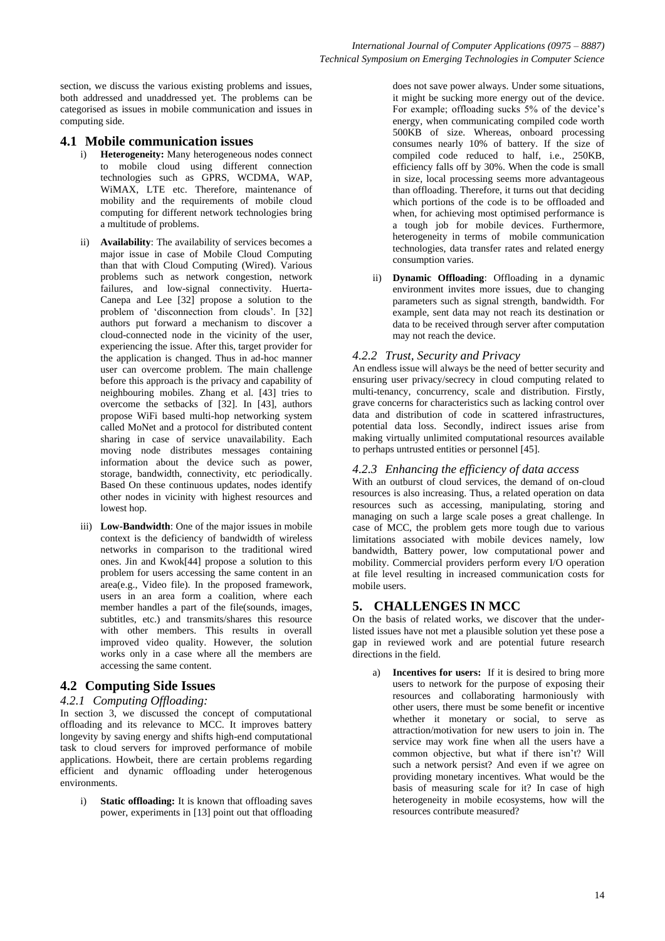section, we discuss the various existing problems and issues, both addressed and unaddressed yet. The problems can be categorised as issues in mobile communication and issues in computing side.

## **4.1 Mobile communication issues**

- i) **Heterogeneity:** Many heterogeneous nodes connect to mobile cloud using different connection technologies such as GPRS, WCDMA, WAP, WiMAX, LTE etc. Therefore, maintenance of mobility and the requirements of mobile cloud computing for different network technologies bring a multitude of problems.
- ii) **Availability**: The availability of services becomes a major issue in case of Mobile Cloud Computing than that with Cloud Computing (Wired). Various problems such as network congestion, network failures, and low-signal connectivity. Huerta-Canepa and Lee [32] propose a solution to the problem of 'disconnection from clouds'. In [32] authors put forward a mechanism to discover a cloud-connected node in the vicinity of the user, experiencing the issue. After this, target provider for the application is changed. Thus in ad-hoc manner user can overcome problem. The main challenge before this approach is the privacy and capability of neighbouring mobiles. Zhang et al. [43] tries to overcome the setbacks of [32]. In [43], authors propose WiFi based multi-hop networking system called MoNet and a protocol for distributed content sharing in case of service unavailability. Each moving node distributes messages containing information about the device such as power, storage, bandwidth, connectivity, etc periodically. Based On these continuous updates, nodes identify other nodes in vicinity with highest resources and lowest hop.
- iii) **Low-Bandwidth**: One of the major issues in mobile context is the deficiency of bandwidth of wireless networks in comparison to the traditional wired ones. Jin and Kwok[44] propose a solution to this problem for users accessing the same content in an area(e.g., Video file). In the proposed framework, users in an area form a coalition, where each member handles a part of the file(sounds, images, subtitles, etc.) and transmits/shares this resource with other members. This results in overall improved video quality. However, the solution works only in a case where all the members are accessing the same content.

## **4.2 Computing Side Issues**

## *4.2.1 Computing Offloading:*

In section 3, we discussed the concept of computational offloading and its relevance to MCC. It improves battery longevity by saving energy and shifts high-end computational task to cloud servers for improved performance of mobile applications. Howbeit, there are certain problems regarding efficient and dynamic offloading under heterogenous environments.

i) **Static offloading:** It is known that offloading saves power, experiments in [13] point out that offloading does not save power always. Under some situations, it might be sucking more energy out of the device. For example; offloading sucks 5% of the device's energy, when communicating compiled code worth 500KB of size. Whereas, onboard processing consumes nearly 10% of battery. If the size of compiled code reduced to half, i.e., 250KB, efficiency falls off by 30%. When the code is small in size, local processing seems more advantageous than offloading. Therefore, it turns out that deciding which portions of the code is to be offloaded and when, for achieving most optimised performance is a tough job for mobile devices. Furthermore, heterogeneity in terms of mobile communication technologies, data transfer rates and related energy consumption varies.

ii) **Dynamic Offloading**: Offloading in a dynamic environment invites more issues, due to changing parameters such as signal strength, bandwidth. For example, sent data may not reach its destination or data to be received through server after computation may not reach the device.

## *4.2.2 Trust, Security and Privacy*

An endless issue will always be the need of better security and ensuring user privacy/secrecy in cloud computing related to multi-tenancy, concurrency, scale and distribution. Firstly, grave concerns for characteristics such as lacking control over data and distribution of code in scattered infrastructures, potential data loss. Secondly, indirect issues arise from making virtually unlimited computational resources available to perhaps untrusted entities or personnel [45].

## *4.2.3 Enhancing the efficiency of data access*

With an outburst of cloud services, the demand of on-cloud resources is also increasing. Thus, a related operation on data resources such as accessing, manipulating, storing and managing on such a large scale poses a great challenge. In case of MCC, the problem gets more tough due to various limitations associated with mobile devices namely, low bandwidth, Battery power, low computational power and mobility. Commercial providers perform every I/O operation at file level resulting in increased communication costs for mobile users.

# **5. CHALLENGES IN MCC**

On the basis of related works, we discover that the underlisted issues have not met a plausible solution yet these pose a gap in reviewed work and are potential future research directions in the field.

a) **Incentives for users:** If it is desired to bring more users to network for the purpose of exposing their resources and collaborating harmoniously with other users, there must be some benefit or incentive whether it monetary or social, to serve as attraction/motivation for new users to join in. The service may work fine when all the users have a common objective, but what if there isn't? Will such a network persist? And even if we agree on providing monetary incentives. What would be the basis of measuring scale for it? In case of high heterogeneity in mobile ecosystems, how will the resources contribute measured?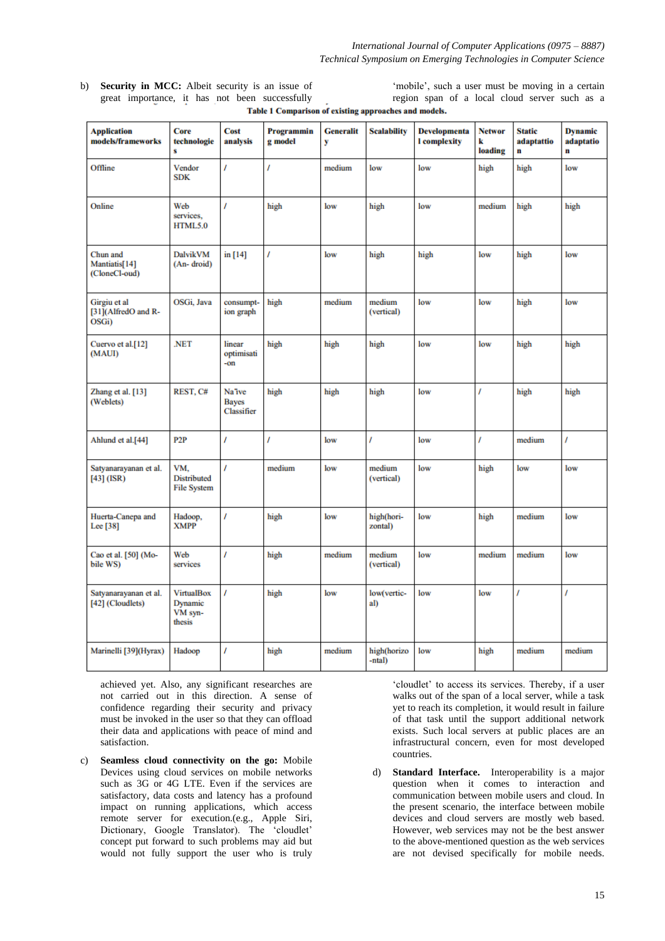b) **Security in MCC:** Albeit security is an issue of 'mobile', such a user must be moving in a certain great importance, it has not been successfully region span of a local cloud server such as a Table 1 Comparison of existing approaches and models.

| <b>Application</b><br>models/frameworks      | Core<br>technologie<br>s                          | Cost<br>analysis                     | Programmin<br>g model | <b>Generalit</b><br>y | <b>Scalability</b>    | <b>Developmenta</b><br><b>l</b> complexity | <b>Networ</b><br>k<br>loading | Static<br>adaptattio<br>n | <b>Dynamic</b><br>adaptatio<br>$\mathbf n$ |
|----------------------------------------------|---------------------------------------------------|--------------------------------------|-----------------------|-----------------------|-----------------------|--------------------------------------------|-------------------------------|---------------------------|--------------------------------------------|
| Offline                                      | Vendor<br><b>SDK</b>                              | ı                                    | ı                     | medium                | low                   | low                                        | high                          | high                      | low                                        |
| Online                                       | Web<br>services,<br>HTML5.0                       | T                                    | high                  | low                   | high                  | low                                        | medium                        | high                      | high                                       |
| Chun and<br>Mantiatis[14]<br>(CloneCl-oud)   | DalvikVM<br>(An-droid)                            | in [14]                              | T                     | low                   | high                  | high                                       | low                           | high                      | low                                        |
| Girgiu et al<br>[31](AlfredO and R-<br>OSGi) | OSGi, Java                                        | consumpt-<br>ion graph               | high                  | medium                | medium<br>(vertical)  | low                                        | low                           | high                      | low                                        |
| Cuervo et al.[12]<br>(MAUI)                  | .NET                                              | linear<br>optimisati<br>-on          | high                  | high                  | high                  | low                                        | low                           | high                      | high                                       |
| Zhang et al. [13]<br>(Weblets)               | REST, C#                                          | Na'ive<br><b>Bayes</b><br>Classifier | high                  | high                  | high                  | low                                        | ı                             | high                      | high                                       |
| Ahlund et al.[44]                            | P2P                                               | T                                    | T                     | low                   | Ī                     | low                                        | Ī                             | medium                    | T                                          |
| Satyanarayanan et al.<br>$[43]$ (ISR)        | VM,<br><b>Distributed</b><br><b>File System</b>   | T                                    | medium                | low                   | medium<br>(vertical)  | low                                        | high                          | low                       | low                                        |
| Huerta-Canepa and<br>Lee [38]                | Hadoop,<br><b>XMPP</b>                            | I                                    | high                  | low                   | high(hori-<br>zontal) | low                                        | high                          | medium                    | low                                        |
| Cao et al. [50] (Mo-<br>bile WS)             | Web<br>services                                   | ı                                    | high                  | medium                | medium<br>(vertical)  | low                                        | medium                        | medium                    | low                                        |
| Satyanarayanan et al.<br>[42] (Cloudlets)    | <b>VirtualBox</b><br>Dynamic<br>VM syn-<br>thesis | T                                    | high                  | low                   | low(vertic-<br>al)    | low                                        | low                           | ı                         | I                                          |
| Marinelli [39](Hyrax)                        | Hadoop                                            | ı                                    | high                  | medium                | high(horizo<br>-ntal) | low                                        | high                          | medium                    | medium                                     |

achieved yet. Also, any significant researches are not carried out in this direction. A sense of confidence regarding their security and privacy must be invoked in the user so that they can offload their data and applications with peace of mind and satisfaction.

c) **Seamless cloud connectivity on the go:** Mobile Devices using cloud services on mobile networks such as 3G or 4G LTE. Even if the services are satisfactory, data costs and latency has a profound impact on running applications, which access remote server for execution.(e.g., Apple Siri, Dictionary, Google Translator). The 'cloudlet' concept put forward to such problems may aid but would not fully support the user who is truly

‗cloudlet' to access its services. Thereby, if a user walks out of the span of a local server, while a task yet to reach its completion, it would result in failure of that task until the support additional network exists. Such local servers at public places are an infrastructural concern, even for most developed countries.

d) **Standard Interface.** Interoperability is a major question when it comes to interaction and communication between mobile users and cloud. In the present scenario, the interface between mobile devices and cloud servers are mostly web based. However, web services may not be the best answer to the above-mentioned question as the web services are not devised specifically for mobile needs.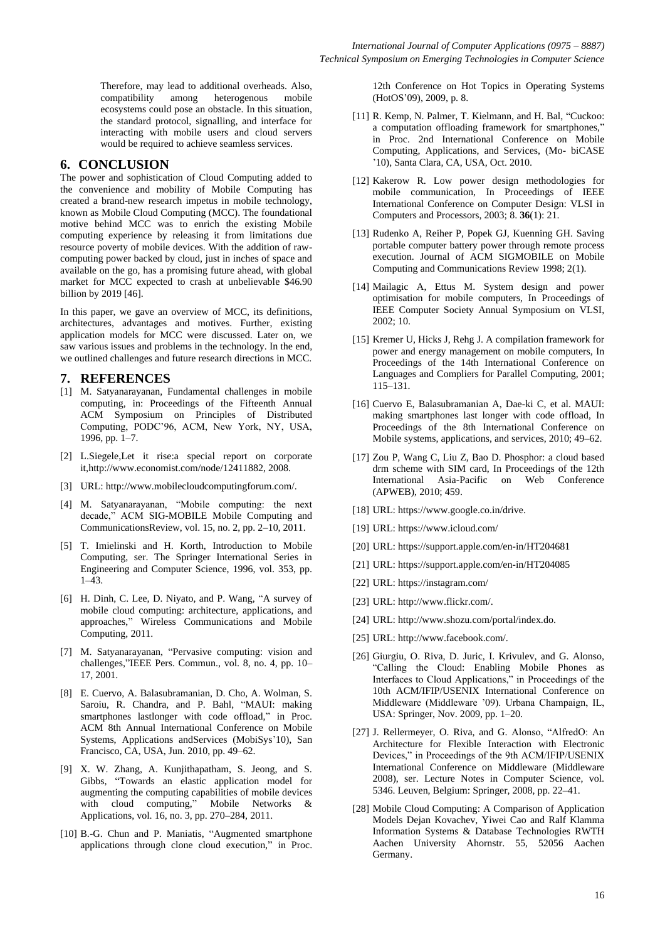Therefore, may lead to additional overheads. Also, compatibility among heterogenous mobile ecosystems could pose an obstacle. In this situation, the standard protocol, signalling, and interface for interacting with mobile users and cloud servers would be required to achieve seamless services.

## **6. CONCLUSION**

The power and sophistication of Cloud Computing added to the convenience and mobility of Mobile Computing has created a brand-new research impetus in mobile technology, known as Mobile Cloud Computing (MCC). The foundational motive behind MCC was to enrich the existing Mobile computing experience by releasing it from limitations due resource poverty of mobile devices. With the addition of rawcomputing power backed by cloud, just in inches of space and available on the go, has a promising future ahead, with global market for MCC expected to crash at unbelievable \$46.90 billion by 2019 [46].

In this paper, we gave an overview of MCC, its definitions, architectures, advantages and motives. Further, existing application models for MCC were discussed. Later on, we saw various issues and problems in the technology. In the end, we outlined challenges and future research directions in MCC.

## **7. REFERENCES**

- [1] M. Satyanarayanan, Fundamental challenges in mobile computing, in: Proceedings of the Fifteenth Annual ACM Symposium on Principles of Distributed Computing, PODC'96, ACM, New York, NY, USA, 1996, pp. 1–7.
- [2] L.Siegele,Let it rise:a special report on corporate it,http://www.economist.com/node/12411882, 2008.
- [3] URL: http://www.mobilecloudcomputingforum.com/.
- [4] M. Satyanarayanan, "Mobile computing: the next decade," ACM SIG-MOBILE Mobile Computing and CommunicationsReview, vol. 15, no. 2, pp. 2–10, 2011.
- [5] T. Imielinski and H. Korth, Introduction to Mobile Computing, ser. The Springer International Series in Engineering and Computer Science, 1996, vol. 353, pp. 1–43.
- [6] H. Dinh, C. Lee, D. Niyato, and P. Wang, "A survey of mobile cloud computing: architecture, applications, and approaches," Wireless Communications and Mobile Computing, 2011.
- [7] M. Satyanarayanan, "Pervasive computing: vision and challenges,"IEEE Pers. Commun., vol. 8, no. 4, pp. 10– 17, 2001.
- [8] E. Cuervo, A. Balasubramanian, D. Cho, A. Wolman, S. Saroiu, R. Chandra, and P. Bahl, "MAUI: making smartphones lastlonger with code offload," in Proc. ACM 8th Annual International Conference on Mobile Systems, Applications andServices (MobiSys'10), San Francisco, CA, USA, Jun. 2010, pp. 49–62.
- [9] X. W. Zhang, A. Kunjithapatham, S. Jeong, and S. Gibbs, "Towards an elastic application model for augmenting the computing capabilities of mobile devices with cloud computing," Mobile Networks & Applications, vol. 16, no. 3, pp. 270–284, 2011.
- [10] B.-G. Chun and P. Maniatis, "Augmented smartphone applications through clone cloud execution," in Proc.

12th Conference on Hot Topics in Operating Systems (HotOS'09), 2009, p. 8.

- [11] R. Kemp, N. Palmer, T. Kielmann, and H. Bal, "Cuckoo: a computation offloading framework for smartphones," in Proc. 2nd International Conference on Mobile Computing, Applications, and Services, (Mo- biCASE '10), Santa Clara, CA, USA, Oct. 2010.
- [12] Kakerow R. Low power design methodologies for mobile communication, In Proceedings of IEEE International Conference on Computer Design: VLSI in Computers and Processors, 2003; 8. **36**(1): 21.
- [13] Rudenko A, Reiher P, Popek GJ, Kuenning GH. Saving portable computer battery power through remote process execution. Journal of ACM SIGMOBILE on Mobile Computing and Communications Review 1998; 2(1).
- [14] Mailagic A, Ettus M. System design and power optimisation for mobile computers, In Proceedings of IEEE Computer Society Annual Symposium on VLSI, 2002; 10.
- [15] Kremer U, Hicks J, Rehg J. A compilation framework for power and energy management on mobile computers, In Proceedings of the 14th International Conference on Languages and Compliers for Parallel Computing, 2001; 115–131.
- [16] Cuervo E, Balasubramanian A, Dae-ki C, et al. MAUI: making smartphones last longer with code offload, In Proceedings of the 8th International Conference on Mobile systems, applications, and services, 2010; 49–62.
- [17] Zou P, Wang C, Liu Z, Bao D. Phosphor: a cloud based drm scheme with SIM card, In Proceedings of the 12th International Asia-Pacific on Web Conference (APWEB), 2010; 459.
- [18] URL: https://www.google.co.in/drive.
- [19] URL: https://www.icloud.com/
- [20] URL: https://support.apple.com/en-in/HT204681
- [21] URL: https://support.apple.com/en-in/HT204085
- [22] URL: https://instagram.com/
- [23] URL: http://www.flickr.com/.
- [24] URL: http://www.shozu.com/portal/index.do.
- [25] URL: http://www.facebook.com/.
- [26] Giurgiu, O. Riva, D. Juric, I. Krivulev, and G. Alonso, ―Calling the Cloud: Enabling Mobile Phones as Interfaces to Cloud Applications," in Proceedings of the 10th ACM/IFIP/USENIX International Conference on Middleware (Middleware '09). Urbana Champaign, IL, USA: Springer, Nov. 2009, pp. 1–20.
- [27] J. Rellermeyer, O. Riva, and G. Alonso, "AlfredO: An Architecture for Flexible Interaction with Electronic Devices," in Proceedings of the 9th ACM/IFIP/USENIX International Conference on Middleware (Middleware 2008), ser. Lecture Notes in Computer Science, vol. 5346. Leuven, Belgium: Springer, 2008, pp. 22–41.
- [28] Mobile Cloud Computing: A Comparison of Application Models Dejan Kovachev, Yiwei Cao and Ralf Klamma Information Systems & Database Technologies RWTH Aachen University Ahornstr. 55, 52056 Aachen Germany.